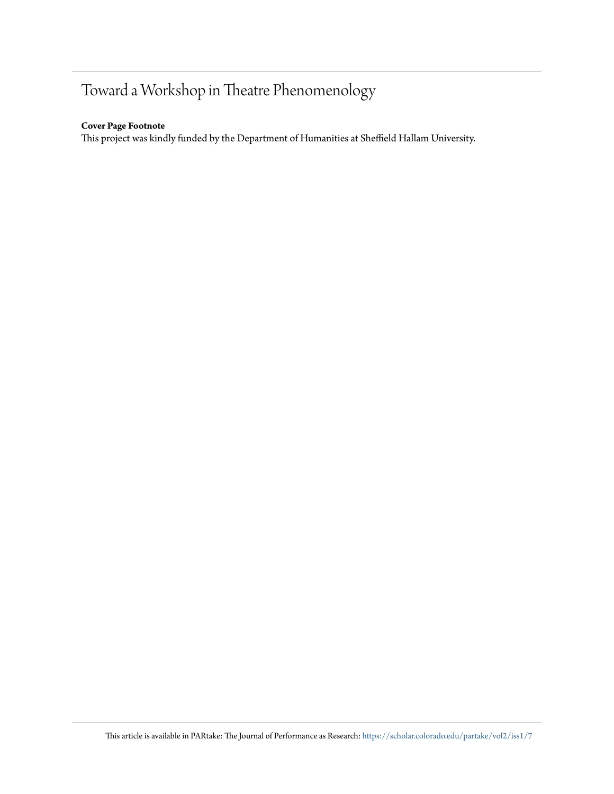# Toward a Workshop in Theatre Phenomenology

## **Cover Page Footnote**

This project was kindly funded by the Department of Humanities at Sheffield Hallam University.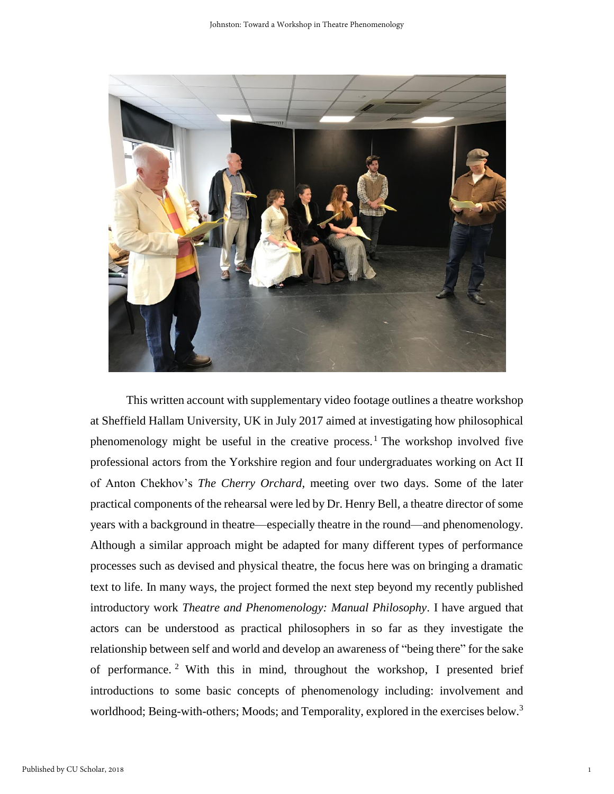

This written account with supplementary video footage outlines a theatre workshop at Sheffield Hallam University, UK in July 2017 aimed at investigating how philosophical phenomenology might be useful in the creative process.<sup>1</sup> The workshop involved five professional actors from the Yorkshire region and four undergraduates working on Act II of Anton Chekhov's *The Cherry Orchard,* meeting over two days. Some of the later practical components of the rehearsal were led by Dr. Henry Bell, a theatre director of some years with a background in theatre—especially theatre in the round—and phenomenology. Although a similar approach might be adapted for many different types of performance processes such as devised and physical theatre, the focus here was on bringing a dramatic text to life. In many ways, the project formed the next step beyond my recently published introductory work *Theatre and Phenomenology: Manual Philosophy*. I have argued that actors can be understood as practical philosophers in so far as they investigate the relationship between self and world and develop an awareness of "being there" for the sake of performance.<sup>2</sup> With this in mind, throughout the workshop, I presented brief introductions to some basic concepts of phenomenology including: involvement and worldhood; Being-with-others; Moods; and Temporality, explored in the exercises below.<sup>3</sup>

1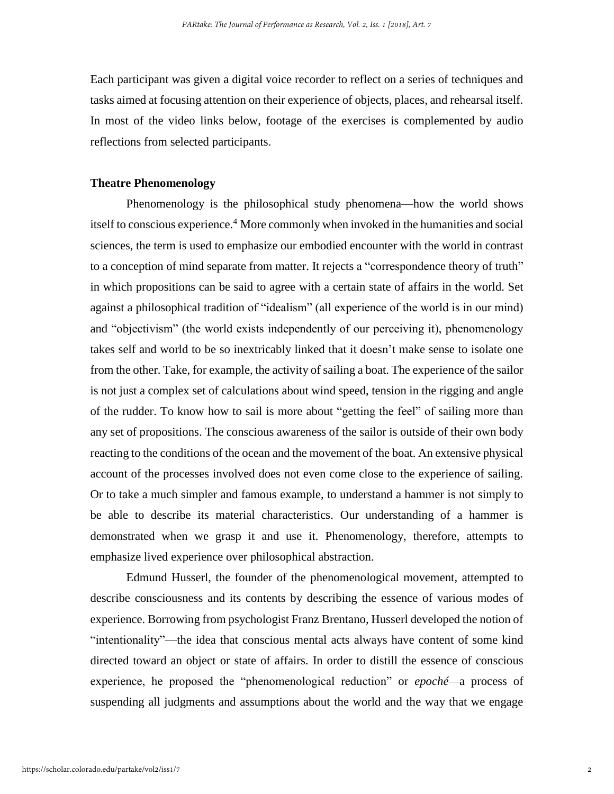Each participant was given a digital voice recorder to reflect on a series of techniques and tasks aimed at focusing attention on their experience of objects, places, and rehearsal itself. In most of the video links below, footage of the exercises is complemented by audio reflections from selected participants.

## **Theatre Phenomenology**

Phenomenology is the philosophical study phenomena—how the world shows itself to conscious experience. <sup>4</sup> More commonly when invoked in the humanities and social sciences, the term is used to emphasize our embodied encounter with the world in contrast to a conception of mind separate from matter. It rejects a "correspondence theory of truth" in which propositions can be said to agree with a certain state of affairs in the world. Set against a philosophical tradition of "idealism" (all experience of the world is in our mind) and "objectivism" (the world exists independently of our perceiving it), phenomenology takes self and world to be so inextricably linked that it doesn't make sense to isolate one from the other. Take, for example, the activity of sailing a boat. The experience of the sailor is not just a complex set of calculations about wind speed, tension in the rigging and angle of the rudder. To know how to sail is more about "getting the feel" of sailing more than any set of propositions. The conscious awareness of the sailor is outside of their own body reacting to the conditions of the ocean and the movement of the boat. An extensive physical account of the processes involved does not even come close to the experience of sailing. Or to take a much simpler and famous example, to understand a hammer is not simply to be able to describe its material characteristics. Our understanding of a hammer is demonstrated when we grasp it and use it. Phenomenology, therefore, attempts to emphasize lived experience over philosophical abstraction.

Edmund Husserl, the founder of the phenomenological movement, attempted to describe consciousness and its contents by describing the essence of various modes of experience. Borrowing from psychologist Franz Brentano, Husserl developed the notion of "intentionality"—the idea that conscious mental acts always have content of some kind directed toward an object or state of affairs. In order to distill the essence of conscious experience, he proposed the "phenomenological reduction" or *epoché—*a process of suspending all judgments and assumptions about the world and the way that we engage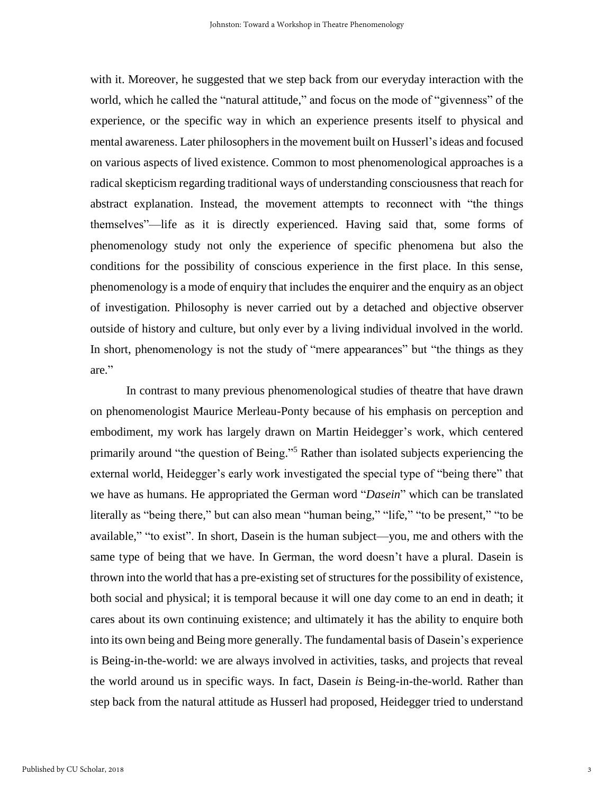with it. Moreover, he suggested that we step back from our everyday interaction with the world, which he called the "natural attitude," and focus on the mode of "givenness" of the experience, or the specific way in which an experience presents itself to physical and mental awareness. Later philosophers in the movement built on Husserl'sideas and focused on various aspects of lived existence. Common to most phenomenological approaches is a radical skepticism regarding traditional ways of understanding consciousness that reach for abstract explanation. Instead, the movement attempts to reconnect with "the things themselves"—life as it is directly experienced. Having said that, some forms of phenomenology study not only the experience of specific phenomena but also the conditions for the possibility of conscious experience in the first place. In this sense, phenomenology is a mode of enquiry that includes the enquirer and the enquiry as an object of investigation. Philosophy is never carried out by a detached and objective observer outside of history and culture, but only ever by a living individual involved in the world. In short, phenomenology is not the study of "mere appearances" but "the things as they are."

In contrast to many previous phenomenological studies of theatre that have drawn on phenomenologist Maurice Merleau-Ponty because of his emphasis on perception and embodiment, my work has largely drawn on Martin Heidegger's work, which centered primarily around "the question of Being."<sup>5</sup> Rather than isolated subjects experiencing the external world, Heidegger's early work investigated the special type of "being there" that we have as humans. He appropriated the German word "*Dasein*" which can be translated literally as "being there," but can also mean "human being," "life," "to be present," "to be available," "to exist". In short, Dasein is the human subject—you, me and others with the same type of being that we have. In German, the word doesn't have a plural. Dasein is thrown into the world that has a pre-existing set of structures for the possibility of existence, both social and physical; it is temporal because it will one day come to an end in death; it cares about its own continuing existence; and ultimately it has the ability to enquire both into its own being and Being more generally. The fundamental basis of Dasein's experience is Being-in-the-world: we are always involved in activities, tasks, and projects that reveal the world around us in specific ways. In fact, Dasein *is* Being-in-the-world. Rather than step back from the natural attitude as Husserl had proposed, Heidegger tried to understand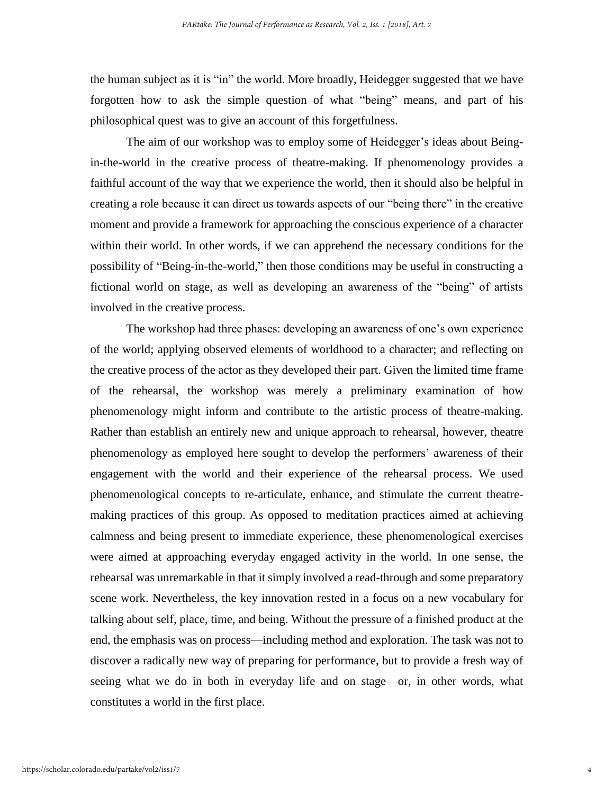the human subject as it is "in" the world. More broadly, Heidegger suggested that we have forgotten how to ask the simple question of what "being" means, and part of his philosophical quest was to give an account of this forgetfulness.

The aim of our workshop was to employ some of Heidegger's ideas about Beingin-the-world in the creative process of theatre-making. If phenomenology provides a faithful account of the way that we experience the world, then it should also be helpful in creating a role because it can direct us towards aspects of our "being there" in the creative moment and provide a framework for approaching the conscious experience of a character within their world. In other words, if we can apprehend the necessary conditions for the possibility of "Being-in-the-world," then those conditions may be useful in constructing a fictional world on stage, as well as developing an awareness of the "being" of artists involved in the creative process.

The workshop had three phases: developing an awareness of one's own experience of the world; applying observed elements of worldhood to a character; and reflecting on the creative process of the actor as they developed their part. Given the limited time frame of the rehearsal, the workshop was merely a preliminary examination of how phenomenology might inform and contribute to the artistic process of theatre-making. Rather than establish an entirely new and unique approach to rehearsal, however, theatre phenomenology as employed here sought to develop the performers' awareness of their engagement with the world and their experience of the rehearsal process. We used phenomenological concepts to re-articulate, enhance, and stimulate the current theatremaking practices of this group. As opposed to meditation practices aimed at achieving calmness and being present to immediate experience, these phenomenological exercises were aimed at approaching everyday engaged activity in the world. In one sense, the rehearsal was unremarkable in that it simply involved a read-through and some preparatory scene work. Nevertheless, the key innovation rested in a focus on a new vocabulary for talking about self, place, time, and being. Without the pressure of a finished product at the end, the emphasis was on process—including method and exploration. The task was not to discover a radically new way of preparing for performance, but to provide a fresh way of seeing what we do in both in everyday life and on stage—or, in other words, what constitutes a world in the first place.

4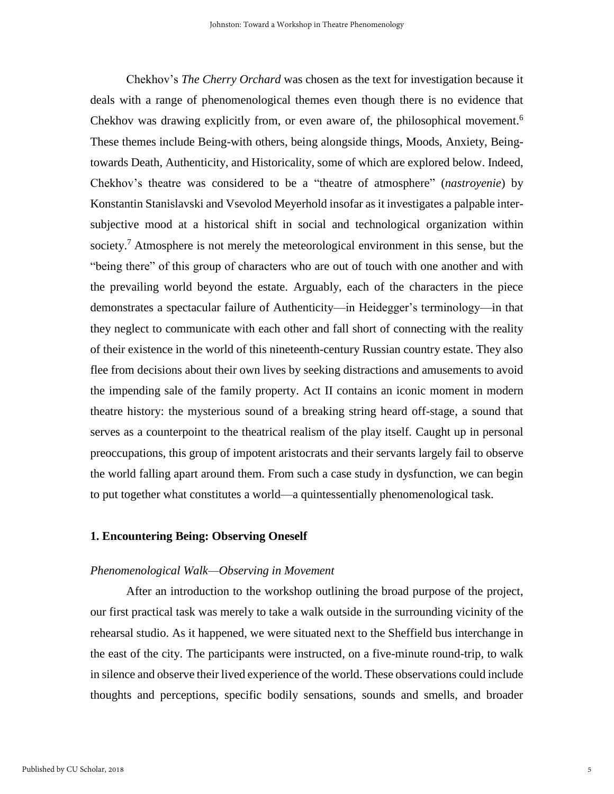Chekhov's *The Cherry Orchard* was chosen as the text for investigation because it deals with a range of phenomenological themes even though there is no evidence that Chekhov was drawing explicitly from, or even aware of, the philosophical movement.<sup>6</sup> These themes include Being-with others, being alongside things, Moods, Anxiety, Beingtowards Death, Authenticity, and Historicality, some of which are explored below. Indeed, Chekhov's theatre was considered to be a "theatre of atmosphere" (*nastroyenie*) by Konstantin Stanislavski and Vsevolod Meyerhold insofar as it investigates a palpable intersubjective mood at a historical shift in social and technological organization within society.<sup>7</sup> Atmosphere is not merely the meteorological environment in this sense, but the "being there" of this group of characters who are out of touch with one another and with the prevailing world beyond the estate. Arguably, each of the characters in the piece demonstrates a spectacular failure of Authenticity—in Heidegger's terminology—in that they neglect to communicate with each other and fall short of connecting with the reality of their existence in the world of this nineteenth-century Russian country estate. They also flee from decisions about their own lives by seeking distractions and amusements to avoid the impending sale of the family property. Act II contains an iconic moment in modern theatre history: the mysterious sound of a breaking string heard off-stage, a sound that serves as a counterpoint to the theatrical realism of the play itself. Caught up in personal preoccupations, this group of impotent aristocrats and their servants largely fail to observe the world falling apart around them. From such a case study in dysfunction, we can begin to put together what constitutes a world—a quintessentially phenomenological task.

## **1. Encountering Being: Observing Oneself**

#### *Phenomenological Walk—Observing in Movement*

After an introduction to the workshop outlining the broad purpose of the project, our first practical task was merely to take a walk outside in the surrounding vicinity of the rehearsal studio. As it happened, we were situated next to the Sheffield bus interchange in the east of the city. The participants were instructed, on a five-minute round-trip, to walk in silence and observe their lived experience of the world. These observations could include thoughts and perceptions, specific bodily sensations, sounds and smells, and broader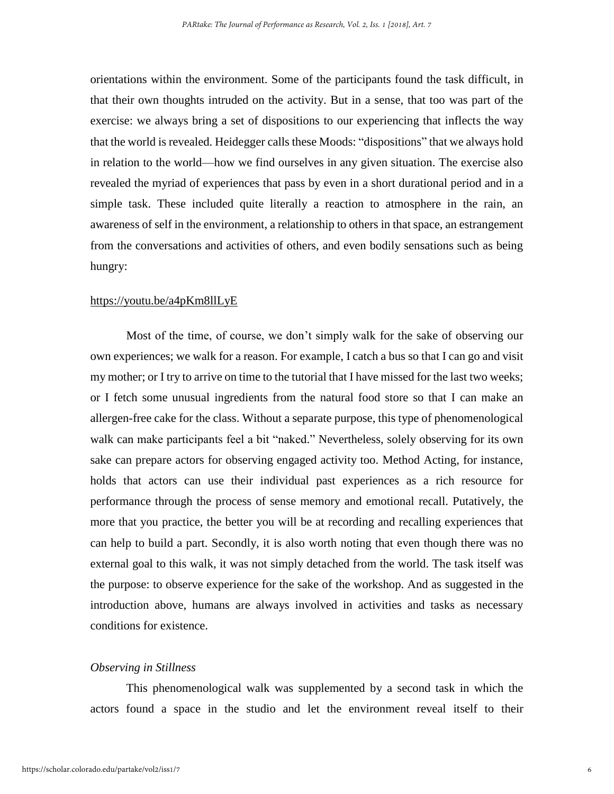orientations within the environment. Some of the participants found the task difficult, in that their own thoughts intruded on the activity. But in a sense, that too was part of the exercise: we always bring a set of dispositions to our experiencing that inflects the way that the world is revealed. Heidegger calls these Moods: "dispositions" that we always hold in relation to the world—how we find ourselves in any given situation. The exercise also revealed the myriad of experiences that pass by even in a short durational period and in a simple task. These included quite literally a reaction to atmosphere in the rain, an awareness of self in the environment, a relationship to others in that space, an estrangement from the conversations and activities of others, and even bodily sensations such as being hungry:

#### <https://youtu.be/a4pKm8llLyE>

Most of the time, of course, we don't simply walk for the sake of observing our own experiences; we walk for a reason. For example, I catch a bus so that I can go and visit my mother; or I try to arrive on time to the tutorial that I have missed for the last two weeks; or I fetch some unusual ingredients from the natural food store so that I can make an allergen-free cake for the class. Without a separate purpose, this type of phenomenological walk can make participants feel a bit "naked." Nevertheless, solely observing for its own sake can prepare actors for observing engaged activity too. Method Acting, for instance, holds that actors can use their individual past experiences as a rich resource for performance through the process of sense memory and emotional recall. Putatively, the more that you practice, the better you will be at recording and recalling experiences that can help to build a part. Secondly, it is also worth noting that even though there was no external goal to this walk, it was not simply detached from the world. The task itself was the purpose: to observe experience for the sake of the workshop. And as suggested in the introduction above, humans are always involved in activities and tasks as necessary conditions for existence.

## *Observing in Stillness*

This phenomenological walk was supplemented by a second task in which the actors found a space in the studio and let the environment reveal itself to their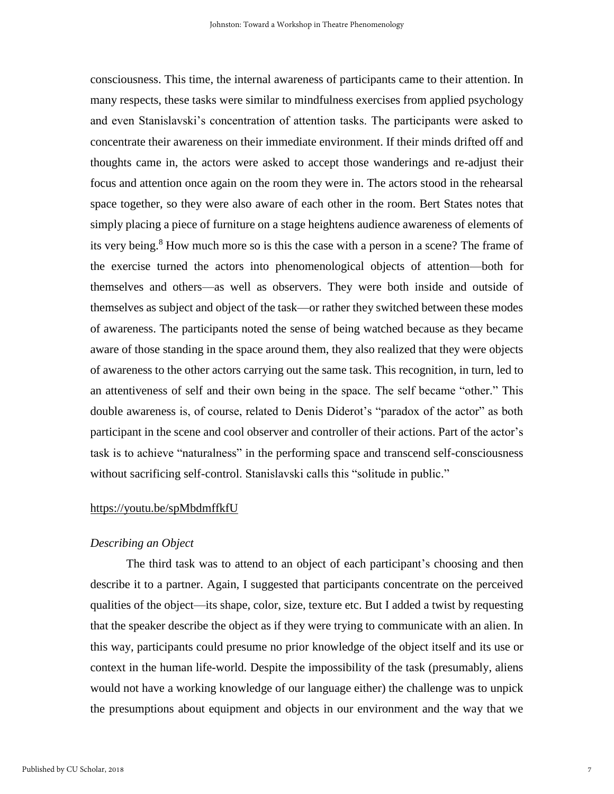consciousness. This time, the internal awareness of participants came to their attention. In many respects, these tasks were similar to mindfulness exercises from applied psychology and even Stanislavski's concentration of attention tasks. The participants were asked to concentrate their awareness on their immediate environment. If their minds drifted off and thoughts came in, the actors were asked to accept those wanderings and re-adjust their focus and attention once again on the room they were in. The actors stood in the rehearsal space together, so they were also aware of each other in the room. Bert States notes that simply placing a piece of furniture on a stage heightens audience awareness of elements of its very being.<sup>8</sup> How much more so is this the case with a person in a scene? The frame of the exercise turned the actors into phenomenological objects of attention—both for themselves and others—as well as observers. They were both inside and outside of themselves as subject and object of the task—or rather they switched between these modes of awareness. The participants noted the sense of being watched because as they became aware of those standing in the space around them, they also realized that they were objects of awareness to the other actors carrying out the same task. This recognition, in turn, led to an attentiveness of self and their own being in the space. The self became "other." This double awareness is, of course, related to Denis Diderot's "paradox of the actor" as both participant in the scene and cool observer and controller of their actions. Part of the actor's task is to achieve "naturalness" in the performing space and transcend self-consciousness without sacrificing self-control. Stanislavski calls this "solitude in public."

## <https://youtu.be/spMbdmffkfU>

## *Describing an Object*

The third task was to attend to an object of each participant's choosing and then describe it to a partner. Again, I suggested that participants concentrate on the perceived qualities of the object—its shape, color, size, texture etc. But I added a twist by requesting that the speaker describe the object as if they were trying to communicate with an alien. In this way, participants could presume no prior knowledge of the object itself and its use or context in the human life-world. Despite the impossibility of the task (presumably, aliens would not have a working knowledge of our language either) the challenge was to unpick the presumptions about equipment and objects in our environment and the way that we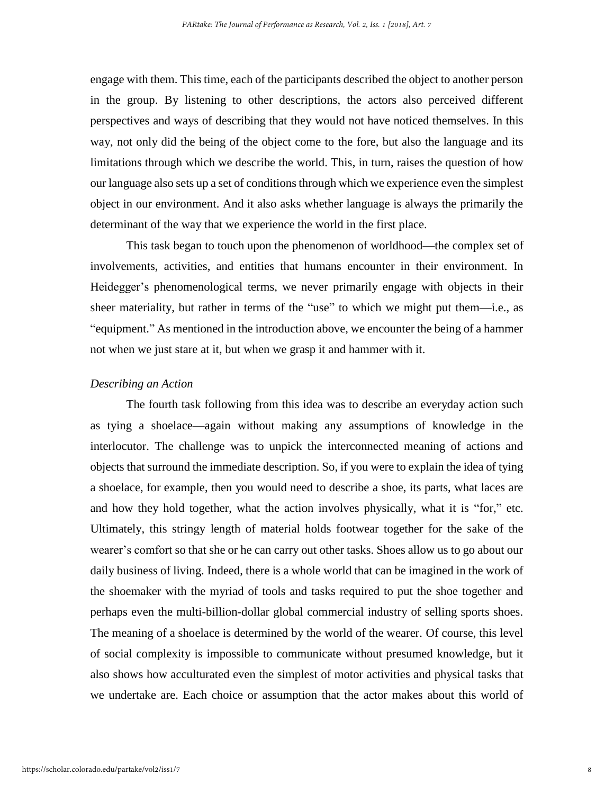engage with them. This time, each of the participants described the object to another person in the group. By listening to other descriptions, the actors also perceived different perspectives and ways of describing that they would not have noticed themselves. In this way, not only did the being of the object come to the fore, but also the language and its limitations through which we describe the world. This, in turn, raises the question of how our language also sets up a set of conditions through which we experience even the simplest object in our environment. And it also asks whether language is always the primarily the determinant of the way that we experience the world in the first place.

This task began to touch upon the phenomenon of worldhood—the complex set of involvements, activities, and entities that humans encounter in their environment. In Heidegger's phenomenological terms, we never primarily engage with objects in their sheer materiality, but rather in terms of the "use" to which we might put them—i.e., as "equipment." As mentioned in the introduction above, we encounter the being of a hammer not when we just stare at it, but when we grasp it and hammer with it.

#### *Describing an Action*

The fourth task following from this idea was to describe an everyday action such as tying a shoelace—again without making any assumptions of knowledge in the interlocutor. The challenge was to unpick the interconnected meaning of actions and objects that surround the immediate description. So, if you were to explain the idea of tying a shoelace, for example, then you would need to describe a shoe, its parts, what laces are and how they hold together, what the action involves physically, what it is "for," etc. Ultimately, this stringy length of material holds footwear together for the sake of the wearer's comfort so that she or he can carry out other tasks. Shoes allow us to go about our daily business of living. Indeed, there is a whole world that can be imagined in the work of the shoemaker with the myriad of tools and tasks required to put the shoe together and perhaps even the multi-billion-dollar global commercial industry of selling sports shoes. The meaning of a shoelace is determined by the world of the wearer. Of course, this level of social complexity is impossible to communicate without presumed knowledge, but it also shows how acculturated even the simplest of motor activities and physical tasks that we undertake are. Each choice or assumption that the actor makes about this world of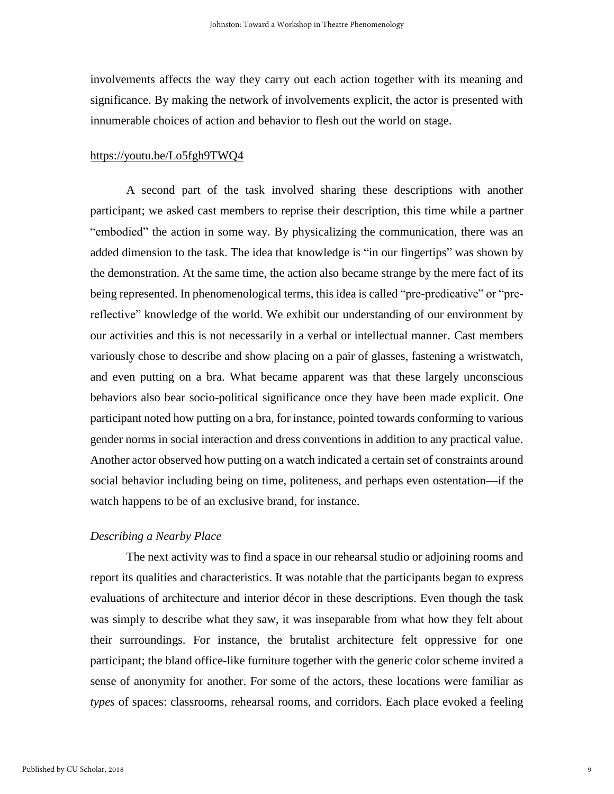involvements affects the way they carry out each action together with its meaning and significance. By making the network of involvements explicit, the actor is presented with innumerable choices of action and behavior to flesh out the world on stage.

## <https://youtu.be/Lo5fgh9TWQ4>

A second part of the task involved sharing these descriptions with another participant; we asked cast members to reprise their description, this time while a partner "embodied" the action in some way. By physicalizing the communication, there was an added dimension to the task. The idea that knowledge is "in our fingertips" was shown by the demonstration. At the same time, the action also became strange by the mere fact of its being represented. In phenomenological terms, this idea is called "pre-predicative" or "prereflective" knowledge of the world. We exhibit our understanding of our environment by our activities and this is not necessarily in a verbal or intellectual manner. Cast members variously chose to describe and show placing on a pair of glasses, fastening a wristwatch, and even putting on a bra. What became apparent was that these largely unconscious behaviors also bear socio-political significance once they have been made explicit. One participant noted how putting on a bra, for instance, pointed towards conforming to various gender norms in social interaction and dress conventions in addition to any practical value. Another actor observed how putting on a watch indicated a certain set of constraints around social behavior including being on time, politeness, and perhaps even ostentation—if the watch happens to be of an exclusive brand, for instance.

# *Describing a Nearby Place*

The next activity was to find a space in our rehearsal studio or adjoining rooms and report its qualities and characteristics. It was notable that the participants began to express evaluations of architecture and interior décor in these descriptions. Even though the task was simply to describe what they saw, it was inseparable from what how they felt about their surroundings. For instance, the brutalist architecture felt oppressive for one participant; the bland office-like furniture together with the generic color scheme invited a sense of anonymity for another. For some of the actors, these locations were familiar as *types* of spaces: classrooms, rehearsal rooms, and corridors. Each place evoked a feeling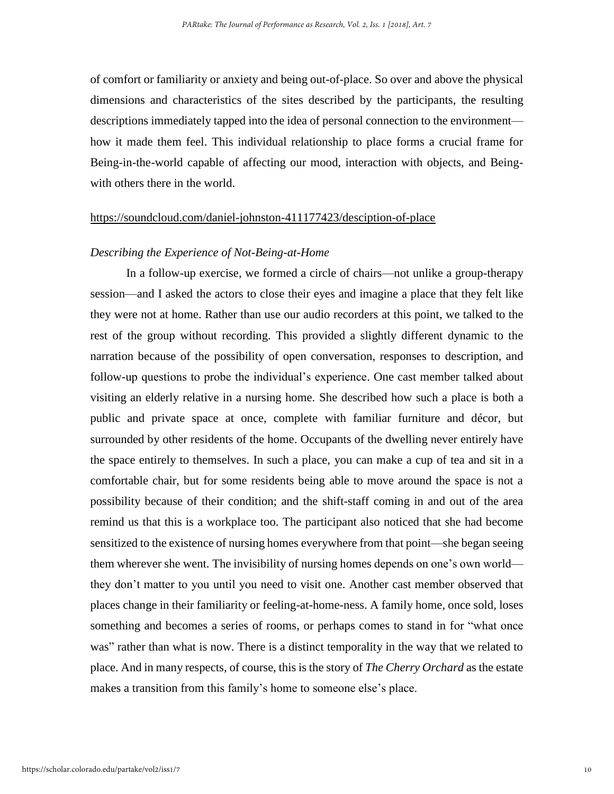of comfort or familiarity or anxiety and being out-of-place. So over and above the physical dimensions and characteristics of the sites described by the participants, the resulting descriptions immediately tapped into the idea of personal connection to the environment how it made them feel. This individual relationship to place forms a crucial frame for Being-in-the-world capable of affecting our mood, interaction with objects, and Beingwith others there in the world.

# <https://soundcloud.com/daniel-johnston-411177423/desciption-of-place>

# *Describing the Experience of Not-Being-at-Home*

In a follow-up exercise, we formed a circle of chairs—not unlike a group-therapy session—and I asked the actors to close their eyes and imagine a place that they felt like they were not at home. Rather than use our audio recorders at this point, we talked to the rest of the group without recording. This provided a slightly different dynamic to the narration because of the possibility of open conversation, responses to description, and follow-up questions to probe the individual's experience. One cast member talked about visiting an elderly relative in a nursing home. She described how such a place is both a public and private space at once, complete with familiar furniture and décor, but surrounded by other residents of the home. Occupants of the dwelling never entirely have the space entirely to themselves. In such a place, you can make a cup of tea and sit in a comfortable chair, but for some residents being able to move around the space is not a possibility because of their condition; and the shift-staff coming in and out of the area remind us that this is a workplace too. The participant also noticed that she had become sensitized to the existence of nursing homes everywhere from that point—she began seeing them wherever she went. The invisibility of nursing homes depends on one's own world they don't matter to you until you need to visit one. Another cast member observed that places change in their familiarity or feeling-at-home-ness. A family home, once sold, loses something and becomes a series of rooms, or perhaps comes to stand in for "what once was" rather than what is now. There is a distinct temporality in the way that we related to place. And in many respects, of course, this is the story of *The Cherry Orchard* as the estate makes a transition from this family's home to someone else's place.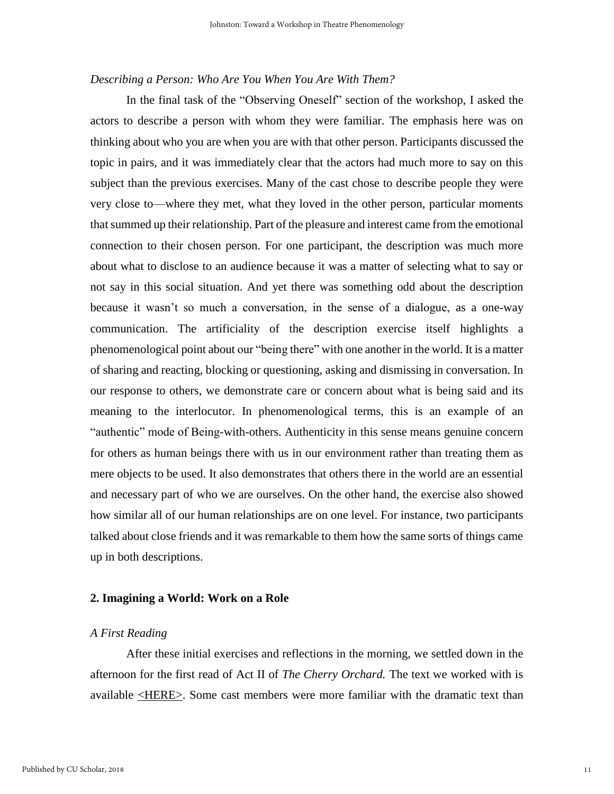# *Describing a Person: Who Are You When You Are With Them?*

In the final task of the "Observing Oneself" section of the workshop, I asked the actors to describe a person with whom they were familiar. The emphasis here was on thinking about who you are when you are with that other person. Participants discussed the topic in pairs, and it was immediately clear that the actors had much more to say on this subject than the previous exercises. Many of the cast chose to describe people they were very close to—where they met, what they loved in the other person, particular moments that summed up their relationship. Part of the pleasure and interest came from the emotional connection to their chosen person. For one participant, the description was much more about what to disclose to an audience because it was a matter of selecting what to say or not say in this social situation. And yet there was something odd about the description because it wasn't so much a conversation, in the sense of a dialogue, as a one-way communication. The artificiality of the description exercise itself highlights a phenomenological point about our "being there" with one another in the world. It is a matter of sharing and reacting, blocking or questioning, asking and dismissing in conversation. In our response to others, we demonstrate care or concern about what is being said and its meaning to the interlocutor. In phenomenological terms, this is an example of an "authentic" mode of Being-with-others. Authenticity in this sense means genuine concern for others as human beings there with us in our environment rather than treating them as mere objects to be used. It also demonstrates that others there in the world are an essential and necessary part of who we are ourselves. On the other hand, the exercise also showed how similar all of our human relationships are on one level. For instance, two participants talked about close friends and it was remarkable to them how the same sorts of things came up in both descriptions.

#### **2. Imagining a World: Work on a Role**

#### *A First Reading*

After these initial exercises and reflections in the morning, we settled down in the afternoon for the first read of Act II of *The Cherry Orchard.* The text we worked with is available [<HERE>.](https://ebooks.adelaide.edu.au/c/chekhov/anton/cherry_orchard/act2.html) Some cast members were more familiar with the dramatic text than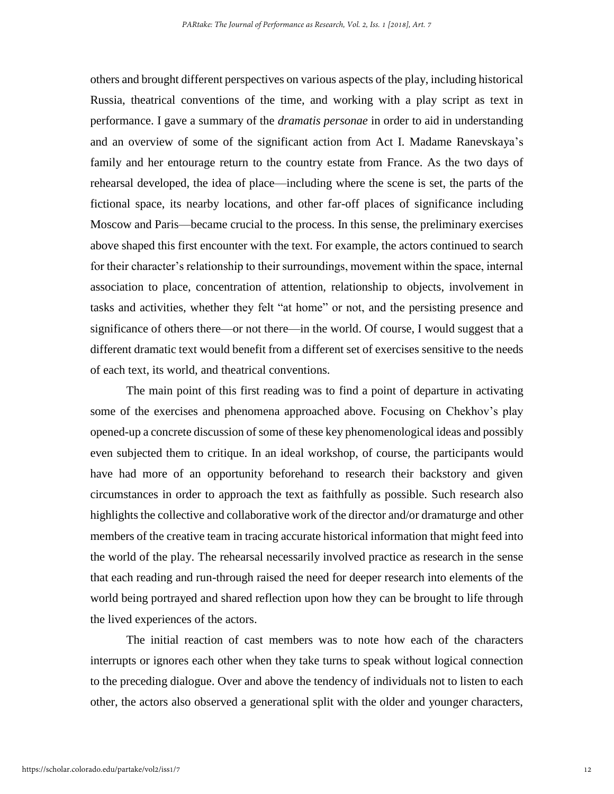others and brought different perspectives on various aspects of the play, including historical Russia, theatrical conventions of the time, and working with a play script as text in performance. I gave a summary of the *dramatis personae* in order to aid in understanding and an overview of some of the significant action from Act I. Madame Ranevskaya's family and her entourage return to the country estate from France. As the two days of rehearsal developed, the idea of place—including where the scene is set, the parts of the fictional space, its nearby locations, and other far-off places of significance including Moscow and Paris—became crucial to the process. In this sense, the preliminary exercises above shaped this first encounter with the text. For example, the actors continued to search for their character's relationship to their surroundings, movement within the space, internal association to place, concentration of attention, relationship to objects, involvement in tasks and activities, whether they felt "at home" or not, and the persisting presence and significance of others there—or not there—in the world. Of course, I would suggest that a different dramatic text would benefit from a different set of exercises sensitive to the needs of each text, its world, and theatrical conventions.

The main point of this first reading was to find a point of departure in activating some of the exercises and phenomena approached above. Focusing on Chekhov's play opened-up a concrete discussion of some of these key phenomenological ideas and possibly even subjected them to critique. In an ideal workshop, of course, the participants would have had more of an opportunity beforehand to research their backstory and given circumstances in order to approach the text as faithfully as possible. Such research also highlights the collective and collaborative work of the director and/or dramaturge and other members of the creative team in tracing accurate historical information that might feed into the world of the play. The rehearsal necessarily involved practice as research in the sense that each reading and run-through raised the need for deeper research into elements of the world being portrayed and shared reflection upon how they can be brought to life through the lived experiences of the actors.

The initial reaction of cast members was to note how each of the characters interrupts or ignores each other when they take turns to speak without logical connection to the preceding dialogue. Over and above the tendency of individuals not to listen to each other, the actors also observed a generational split with the older and younger characters,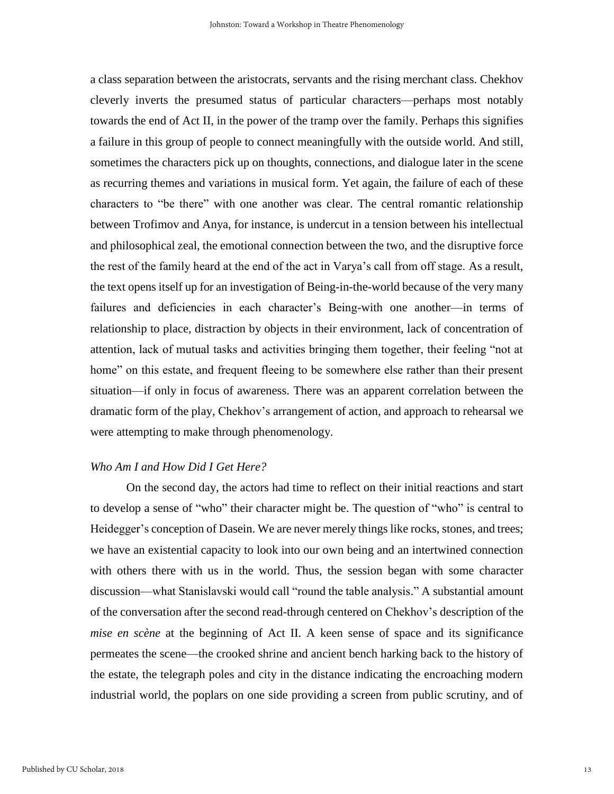a class separation between the aristocrats, servants and the rising merchant class. Chekhov cleverly inverts the presumed status of particular characters—perhaps most notably towards the end of Act II, in the power of the tramp over the family. Perhaps this signifies a failure in this group of people to connect meaningfully with the outside world. And still, sometimes the characters pick up on thoughts, connections, and dialogue later in the scene as recurring themes and variations in musical form. Yet again, the failure of each of these characters to "be there" with one another was clear. The central romantic relationship between Trofimov and Anya, for instance, is undercut in a tension between his intellectual and philosophical zeal, the emotional connection between the two, and the disruptive force the rest of the family heard at the end of the act in Varya's call from off stage. As a result, the text opens itself up for an investigation of Being-in-the-world because of the very many failures and deficiencies in each character's Being-with one another—in terms of relationship to place, distraction by objects in their environment, lack of concentration of attention, lack of mutual tasks and activities bringing them together, their feeling "not at home" on this estate, and frequent fleeing to be somewhere else rather than their present situation—if only in focus of awareness. There was an apparent correlation between the dramatic form of the play, Chekhov's arrangement of action, and approach to rehearsal we were attempting to make through phenomenology.

## *Who Am I and How Did I Get Here?*

On the second day, the actors had time to reflect on their initial reactions and start to develop a sense of "who" their character might be. The question of "who" is central to Heidegger's conception of Dasein. We are never merely things like rocks, stones, and trees; we have an existential capacity to look into our own being and an intertwined connection with others there with us in the world. Thus, the session began with some character discussion—what Stanislavski would call "round the table analysis." A substantial amount of the conversation after the second read-through centered on Chekhov's description of the *mise en scène* at the beginning of Act II. A keen sense of space and its significance permeates the scene—the crooked shrine and ancient bench harking back to the history of the estate, the telegraph poles and city in the distance indicating the encroaching modern industrial world, the poplars on one side providing a screen from public scrutiny, and of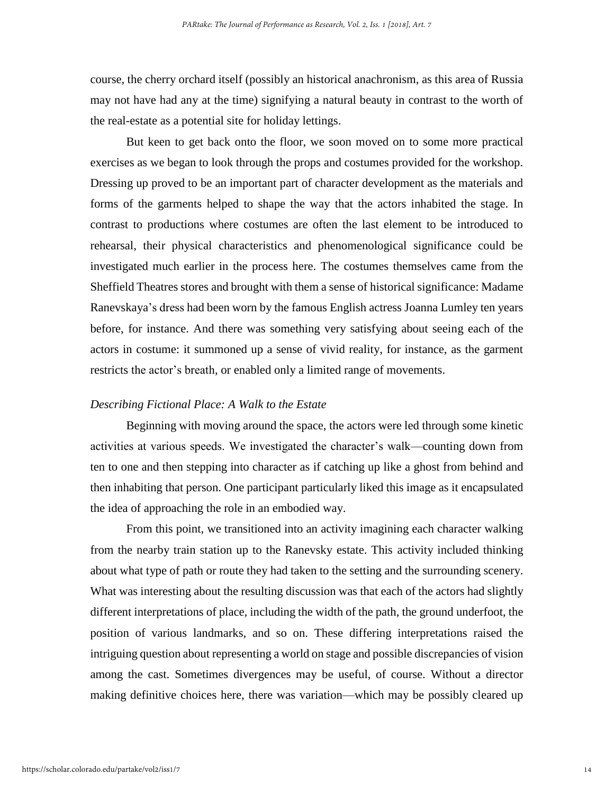course, the cherry orchard itself (possibly an historical anachronism, as this area of Russia may not have had any at the time) signifying a natural beauty in contrast to the worth of the real-estate as a potential site for holiday lettings.

But keen to get back onto the floor, we soon moved on to some more practical exercises as we began to look through the props and costumes provided for the workshop. Dressing up proved to be an important part of character development as the materials and forms of the garments helped to shape the way that the actors inhabited the stage. In contrast to productions where costumes are often the last element to be introduced to rehearsal, their physical characteristics and phenomenological significance could be investigated much earlier in the process here. The costumes themselves came from the Sheffield Theatres stores and brought with them a sense of historical significance: Madame Ranevskaya's dress had been worn by the famous English actress Joanna Lumley ten years before, for instance. And there was something very satisfying about seeing each of the actors in costume: it summoned up a sense of vivid reality, for instance, as the garment restricts the actor's breath, or enabled only a limited range of movements.

## *Describing Fictional Place: A Walk to the Estate*

Beginning with moving around the space, the actors were led through some kinetic activities at various speeds. We investigated the character's walk—counting down from ten to one and then stepping into character as if catching up like a ghost from behind and then inhabiting that person. One participant particularly liked this image as it encapsulated the idea of approaching the role in an embodied way.

From this point, we transitioned into an activity imagining each character walking from the nearby train station up to the Ranevsky estate. This activity included thinking about what type of path or route they had taken to the setting and the surrounding scenery. What was interesting about the resulting discussion was that each of the actors had slightly different interpretations of place, including the width of the path, the ground underfoot, the position of various landmarks, and so on. These differing interpretations raised the intriguing question about representing a world on stage and possible discrepancies of vision among the cast. Sometimes divergences may be useful, of course. Without a director making definitive choices here, there was variation—which may be possibly cleared up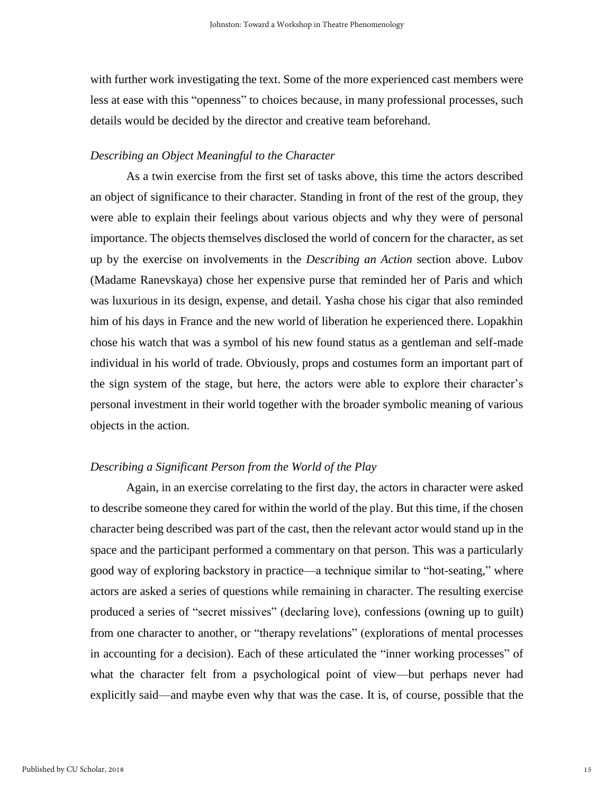with further work investigating the text. Some of the more experienced cast members were less at ease with this "openness" to choices because, in many professional processes, such details would be decided by the director and creative team beforehand.

# *Describing an Object Meaningful to the Character*

As a twin exercise from the first set of tasks above, this time the actors described an object of significance to their character. Standing in front of the rest of the group, they were able to explain their feelings about various objects and why they were of personal importance. The objects themselves disclosed the world of concern for the character, as set up by the exercise on involvements in the *Describing an Action* section above. Lubov (Madame Ranevskaya) chose her expensive purse that reminded her of Paris and which was luxurious in its design, expense, and detail. Yasha chose his cigar that also reminded him of his days in France and the new world of liberation he experienced there. Lopakhin chose his watch that was a symbol of his new found status as a gentleman and self-made individual in his world of trade. Obviously, props and costumes form an important part of the sign system of the stage, but here, the actors were able to explore their character's personal investment in their world together with the broader symbolic meaning of various objects in the action.

# *Describing a Significant Person from the World of the Play*

Again, in an exercise correlating to the first day, the actors in character were asked to describe someone they cared for within the world of the play. But this time, if the chosen character being described was part of the cast, then the relevant actor would stand up in the space and the participant performed a commentary on that person. This was a particularly good way of exploring backstory in practice—a technique similar to "hot-seating," where actors are asked a series of questions while remaining in character. The resulting exercise produced a series of "secret missives" (declaring love), confessions (owning up to guilt) from one character to another, or "therapy revelations" (explorations of mental processes in accounting for a decision). Each of these articulated the "inner working processes" of what the character felt from a psychological point of view—but perhaps never had explicitly said—and maybe even why that was the case. It is, of course, possible that the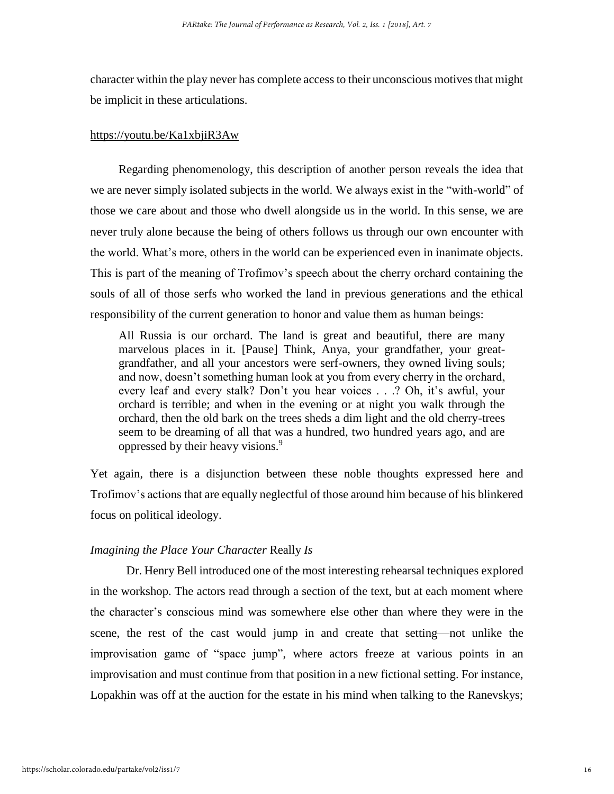character within the play never has complete access to their unconscious motives that might be implicit in these articulations.

#### <https://youtu.be/Ka1xbjiR3Aw>

Regarding phenomenology, this description of another person reveals the idea that we are never simply isolated subjects in the world. We always exist in the "with-world" of those we care about and those who dwell alongside us in the world. In this sense, we are never truly alone because the being of others follows us through our own encounter with the world. What's more, others in the world can be experienced even in inanimate objects. This is part of the meaning of Trofimov's speech about the cherry orchard containing the souls of all of those serfs who worked the land in previous generations and the ethical responsibility of the current generation to honor and value them as human beings:

All Russia is our orchard. The land is great and beautiful, there are many marvelous places in it. [Pause] Think, Anya, your grandfather, your greatgrandfather, and all your ancestors were serf-owners, they owned living souls; and now, doesn't something human look at you from every cherry in the orchard, every leaf and every stalk? Don't you hear voices . . .? Oh, it's awful, your orchard is terrible; and when in the evening or at night you walk through the orchard, then the old bark on the trees sheds a dim light and the old cherry-trees seem to be dreaming of all that was a hundred, two hundred years ago, and are oppressed by their heavy visions.<sup>9</sup>

Yet again, there is a disjunction between these noble thoughts expressed here and Trofimov's actions that are equally neglectful of those around him because of his blinkered focus on political ideology.

### *Imagining the Place Your Character* Really *Is*

Dr. Henry Bell introduced one of the most interesting rehearsal techniques explored in the workshop. The actors read through a section of the text, but at each moment where the character's conscious mind was somewhere else other than where they were in the scene, the rest of the cast would jump in and create that setting—not unlike the improvisation game of "space jump", where actors freeze at various points in an improvisation and must continue from that position in a new fictional setting. For instance, Lopakhin was off at the auction for the estate in his mind when talking to the Ranevskys;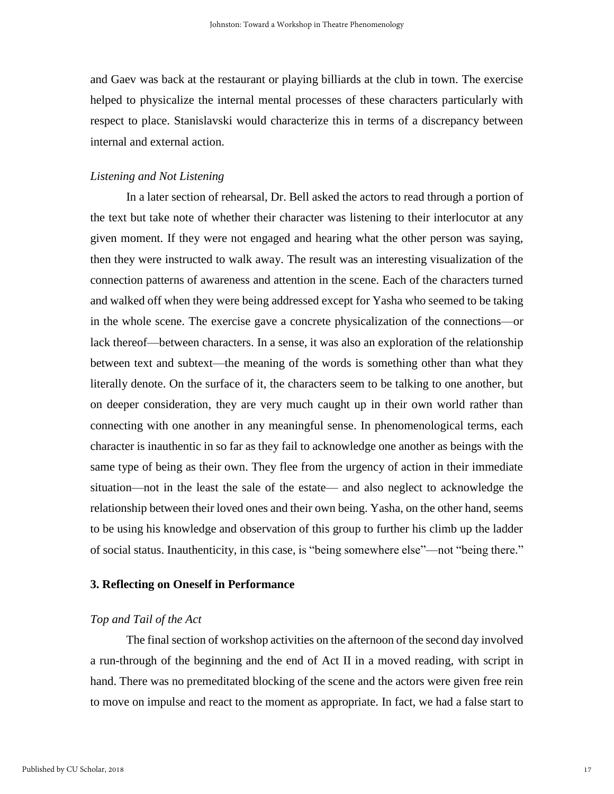and Gaev was back at the restaurant or playing billiards at the club in town. The exercise helped to physicalize the internal mental processes of these characters particularly with respect to place. Stanislavski would characterize this in terms of a discrepancy between internal and external action.

# *Listening and Not Listening*

In a later section of rehearsal, Dr. Bell asked the actors to read through a portion of the text but take note of whether their character was listening to their interlocutor at any given moment. If they were not engaged and hearing what the other person was saying, then they were instructed to walk away. The result was an interesting visualization of the connection patterns of awareness and attention in the scene. Each of the characters turned and walked off when they were being addressed except for Yasha who seemed to be taking in the whole scene. The exercise gave a concrete physicalization of the connections—or lack thereof—between characters. In a sense, it was also an exploration of the relationship between text and subtext—the meaning of the words is something other than what they literally denote. On the surface of it, the characters seem to be talking to one another, but on deeper consideration, they are very much caught up in their own world rather than connecting with one another in any meaningful sense. In phenomenological terms, each character is inauthentic in so far as they fail to acknowledge one another as beings with the same type of being as their own. They flee from the urgency of action in their immediate situation—not in the least the sale of the estate— and also neglect to acknowledge the relationship between their loved ones and their own being. Yasha, on the other hand, seems to be using his knowledge and observation of this group to further his climb up the ladder of social status. Inauthenticity, in this case, is "being somewhere else"—not "being there."

## **3. Reflecting on Oneself in Performance**

## *Top and Tail of the Act*

The final section of workshop activities on the afternoon of the second day involved a run-through of the beginning and the end of Act II in a moved reading, with script in hand. There was no premeditated blocking of the scene and the actors were given free rein to move on impulse and react to the moment as appropriate. In fact, we had a false start to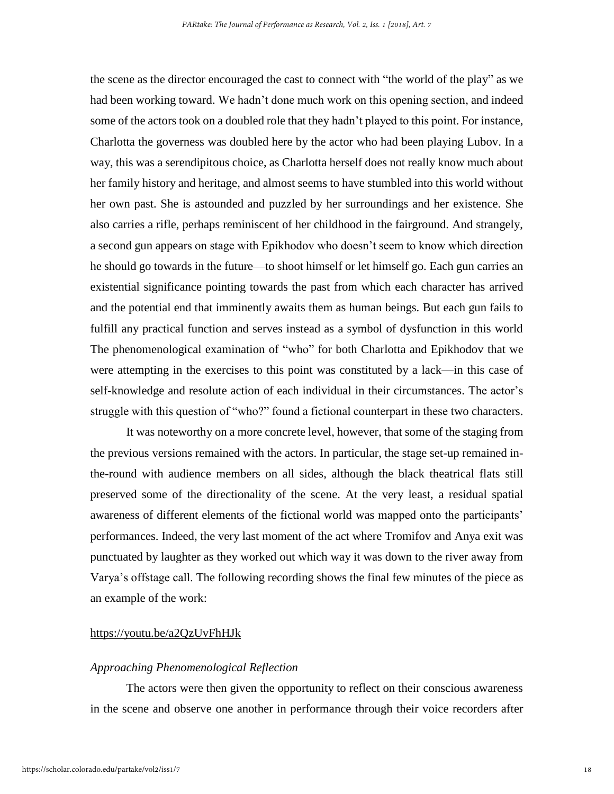the scene as the director encouraged the cast to connect with "the world of the play" as we had been working toward. We hadn't done much work on this opening section, and indeed some of the actors took on a doubled role that they hadn't played to this point. For instance, Charlotta the governess was doubled here by the actor who had been playing Lubov. In a way, this was a serendipitous choice, as Charlotta herself does not really know much about her family history and heritage, and almost seems to have stumbled into this world without her own past. She is astounded and puzzled by her surroundings and her existence. She also carries a rifle, perhaps reminiscent of her childhood in the fairground. And strangely, a second gun appears on stage with Epikhodov who doesn't seem to know which direction he should go towards in the future—to shoot himself or let himself go. Each gun carries an existential significance pointing towards the past from which each character has arrived and the potential end that imminently awaits them as human beings. But each gun fails to fulfill any practical function and serves instead as a symbol of dysfunction in this world The phenomenological examination of "who" for both Charlotta and Epikhodov that we were attempting in the exercises to this point was constituted by a lack—in this case of self-knowledge and resolute action of each individual in their circumstances. The actor's struggle with this question of "who?" found a fictional counterpart in these two characters.

It was noteworthy on a more concrete level, however, that some of the staging from the previous versions remained with the actors. In particular, the stage set-up remained inthe-round with audience members on all sides, although the black theatrical flats still preserved some of the directionality of the scene. At the very least, a residual spatial awareness of different elements of the fictional world was mapped onto the participants' performances. Indeed, the very last moment of the act where Tromifov and Anya exit was punctuated by laughter as they worked out which way it was down to the river away from Varya's offstage call. The following recording shows the final few minutes of the piece as an example of the work:

#### <https://youtu.be/a2QzUvFhHJk>

## *Approaching Phenomenological Reflection*

The actors were then given the opportunity to reflect on their conscious awareness in the scene and observe one another in performance through their voice recorders after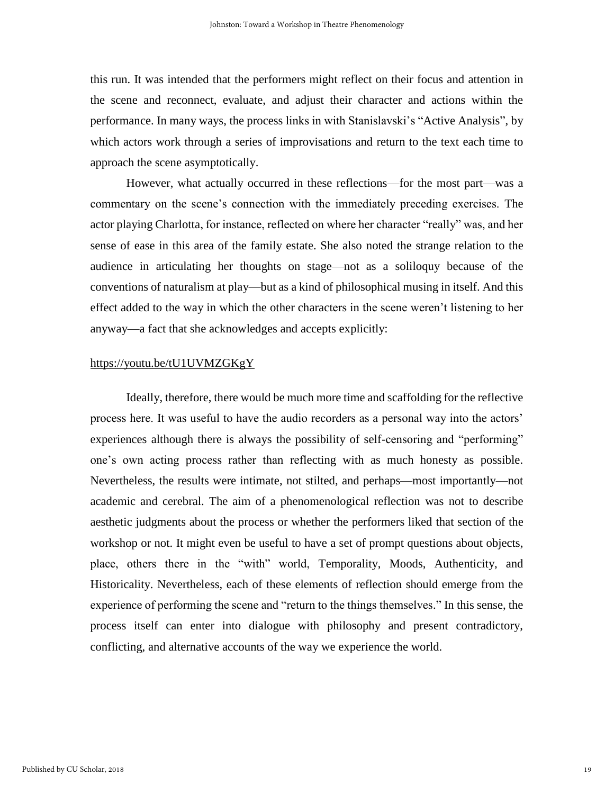this run. It was intended that the performers might reflect on their focus and attention in the scene and reconnect, evaluate, and adjust their character and actions within the performance. In many ways, the process links in with Stanislavski's "Active Analysis", by which actors work through a series of improvisations and return to the text each time to approach the scene asymptotically.

However, what actually occurred in these reflections—for the most part—was a commentary on the scene's connection with the immediately preceding exercises. The actor playing Charlotta, for instance, reflected on where her character "really" was, and her sense of ease in this area of the family estate. She also noted the strange relation to the audience in articulating her thoughts on stage—not as a soliloquy because of the conventions of naturalism at play—but as a kind of philosophical musing in itself. And this effect added to the way in which the other characters in the scene weren't listening to her anyway—a fact that she acknowledges and accepts explicitly:

# <https://youtu.be/tU1UVMZGKgY>

Ideally, therefore, there would be much more time and scaffolding for the reflective process here. It was useful to have the audio recorders as a personal way into the actors' experiences although there is always the possibility of self-censoring and "performing" one's own acting process rather than reflecting with as much honesty as possible. Nevertheless, the results were intimate, not stilted, and perhaps—most importantly—not academic and cerebral. The aim of a phenomenological reflection was not to describe aesthetic judgments about the process or whether the performers liked that section of the workshop or not. It might even be useful to have a set of prompt questions about objects, place, others there in the "with" world, Temporality, Moods, Authenticity, and Historicality. Nevertheless, each of these elements of reflection should emerge from the experience of performing the scene and "return to the things themselves." In this sense, the process itself can enter into dialogue with philosophy and present contradictory, conflicting, and alternative accounts of the way we experience the world.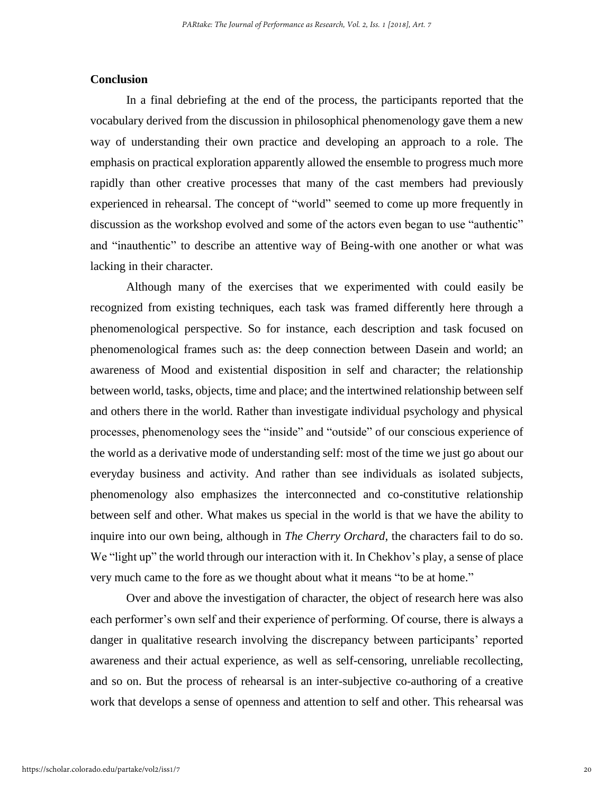## **Conclusion**

In a final debriefing at the end of the process, the participants reported that the vocabulary derived from the discussion in philosophical phenomenology gave them a new way of understanding their own practice and developing an approach to a role. The emphasis on practical exploration apparently allowed the ensemble to progress much more rapidly than other creative processes that many of the cast members had previously experienced in rehearsal. The concept of "world" seemed to come up more frequently in discussion as the workshop evolved and some of the actors even began to use "authentic" and "inauthentic" to describe an attentive way of Being-with one another or what was lacking in their character.

Although many of the exercises that we experimented with could easily be recognized from existing techniques, each task was framed differently here through a phenomenological perspective. So for instance, each description and task focused on phenomenological frames such as: the deep connection between Dasein and world; an awareness of Mood and existential disposition in self and character; the relationship between world, tasks, objects, time and place; and the intertwined relationship between self and others there in the world. Rather than investigate individual psychology and physical processes, phenomenology sees the "inside" and "outside" of our conscious experience of the world as a derivative mode of understanding self: most of the time we just go about our everyday business and activity. And rather than see individuals as isolated subjects, phenomenology also emphasizes the interconnected and co-constitutive relationship between self and other. What makes us special in the world is that we have the ability to inquire into our own being, although in *The Cherry Orchard*, the characters fail to do so. We "light up" the world through our interaction with it. In Chekhov's play, a sense of place very much came to the fore as we thought about what it means "to be at home."

Over and above the investigation of character, the object of research here was also each performer's own self and their experience of performing. Of course, there is always a danger in qualitative research involving the discrepancy between participants' reported awareness and their actual experience, as well as self-censoring, unreliable recollecting, and so on. But the process of rehearsal is an inter-subjective co-authoring of a creative work that develops a sense of openness and attention to self and other. This rehearsal was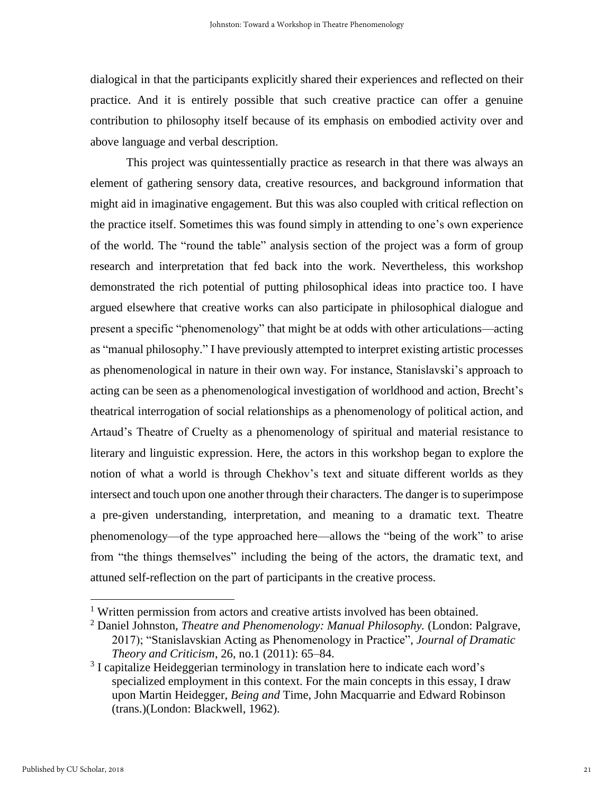dialogical in that the participants explicitly shared their experiences and reflected on their practice. And it is entirely possible that such creative practice can offer a genuine contribution to philosophy itself because of its emphasis on embodied activity over and above language and verbal description.

This project was quintessentially practice as research in that there was always an element of gathering sensory data, creative resources, and background information that might aid in imaginative engagement. But this was also coupled with critical reflection on the practice itself. Sometimes this was found simply in attending to one's own experience of the world. The "round the table" analysis section of the project was a form of group research and interpretation that fed back into the work. Nevertheless, this workshop demonstrated the rich potential of putting philosophical ideas into practice too. I have argued elsewhere that creative works can also participate in philosophical dialogue and present a specific "phenomenology" that might be at odds with other articulations—acting as "manual philosophy." I have previously attempted to interpret existing artistic processes as phenomenological in nature in their own way. For instance, Stanislavski's approach to acting can be seen as a phenomenological investigation of worldhood and action, Brecht's theatrical interrogation of social relationships as a phenomenology of political action, and Artaud's Theatre of Cruelty as a phenomenology of spiritual and material resistance to literary and linguistic expression. Here, the actors in this workshop began to explore the notion of what a world is through Chekhov's text and situate different worlds as they intersect and touch upon one another through their characters. The danger is to superimpose a pre-given understanding, interpretation, and meaning to a dramatic text. Theatre phenomenology—of the type approached here—allows the "being of the work" to arise from "the things themselves" including the being of the actors, the dramatic text, and attuned self-reflection on the part of participants in the creative process.

 $\overline{a}$ 

<sup>&</sup>lt;sup>1</sup> Written permission from actors and creative artists involved has been obtained.

<sup>&</sup>lt;sup>2</sup> Daniel Johnston, *Theatre and Phenomenology: Manual Philosophy.* (London: Palgrave, 2017); "Stanislavskian Acting as Phenomenology in Practice", *Journal of Dramatic Theory and Criticism*, 26, no.1 (2011): 65–84.

<sup>&</sup>lt;sup>3</sup> I capitalize Heideggerian terminology in translation here to indicate each word's specialized employment in this context. For the main concepts in this essay, I draw upon Martin Heidegger, *Being and* Time, John Macquarrie and Edward Robinson (trans.)(London: Blackwell, 1962).